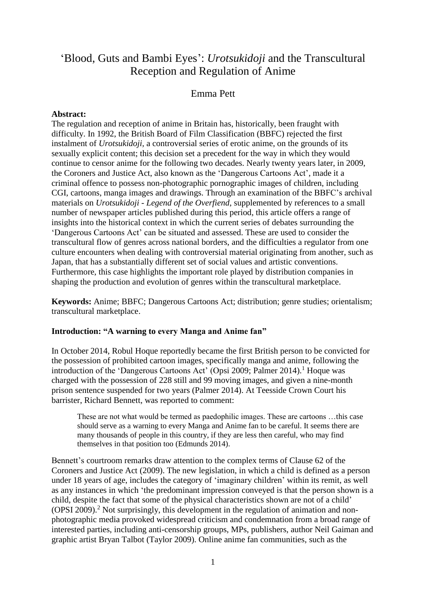# 'Blood, Guts and Bambi Eyes': *Urotsukidoji* and the Transcultural Reception and Regulation of Anime

# Emma Pett

### **Abstract:**

The regulation and reception of anime in Britain has, historically, been fraught with difficulty. In 1992, the British Board of Film Classification (BBFC) rejected the first instalment of *Urotsukidoji,* a controversial series of erotic anime, on the grounds of its sexually explicit content; this decision set a precedent for the way in which they would continue to censor anime for the following two decades. Nearly twenty years later, in 2009, the Coroners and Justice Act, also known as the 'Dangerous Cartoons Act', made it a criminal offence to possess non-photographic pornographic images of children, including CGI, cartoons, manga images and drawings. Through an examination of the BBFC's archival materials on *Urotsukidoji - Legend of the Overfiend*, supplemented by references to a small number of newspaper articles published during this period, this article offers a range of insights into the historical context in which the current series of debates surrounding the 'Dangerous Cartoons Act' can be situated and assessed. These are used to consider the transcultural flow of genres across national borders, and the difficulties a regulator from one culture encounters when dealing with controversial material originating from another, such as Japan, that has a substantially different set of social values and artistic conventions. Furthermore, this case highlights the important role played by distribution companies in shaping the production and evolution of genres within the transcultural marketplace.

**Keywords:** Anime; BBFC; Dangerous Cartoons Act; distribution; genre studies; orientalism; transcultural marketplace.

### **Introduction: "A warning to every Manga and Anime fan"**

In October 2014, Robul Hoque reportedly became the first British person to be convicted for the possession of prohibited cartoon images, specifically manga and anime, following the introduction of the 'Dangerous Cartoons Act' (Opsi 2009; Palmer 2014). <sup>1</sup> Hoque was charged with the possession of 228 still and 99 moving images, and given a nine-month prison sentence suspended for two years (Palmer 2014). At Teesside Crown Court his barrister, Richard Bennett, was reported to comment:

These are not what would be termed as paedophilic images. These are cartoons …this case should serve as a warning to every Manga and Anime fan to be careful. It seems there are many thousands of people in this country, if they are less then careful, who may find themselves in that position too (Edmunds 2014).

Bennett's courtroom remarks draw attention to the complex terms of Clause 62 of the Coroners and Justice Act (2009). The new legislation, in which a child is defined as a person under 18 years of age, includes the category of 'imaginary children' within its remit, as well as any instances in which 'the predominant impression conveyed is that the person shown is a child, despite the fact that some of the physical characteristics shown are not of a child' (OPSI 2009). <sup>2</sup> Not surprisingly, this development in the regulation of animation and nonphotographic media provoked widespread criticism and condemnation from a broad range of interested parties, including anti-censorship groups, MPs, publishers, author Neil Gaiman and graphic artist Bryan Talbot (Taylor 2009). Online anime fan communities, such as the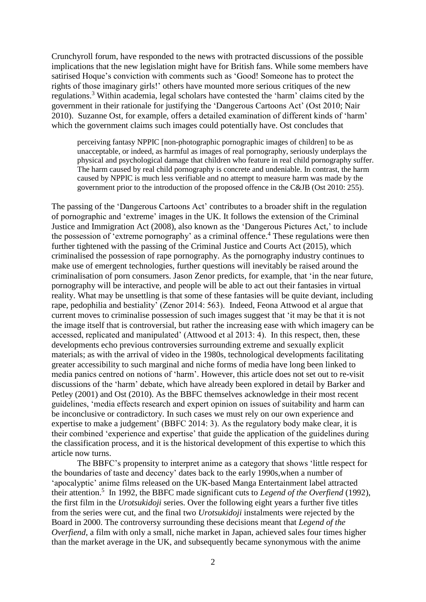Crunchyroll forum, have responded to the news with protracted discussions of the possible implications that the new legislation might have for British fans. While some members have satirised Hoque's conviction with comments such as 'Good! Someone has to protect the rights of those imaginary girls!' others have mounted more serious critiques of the new regulations. <sup>3</sup> Within academia, legal scholars have contested the 'harm' claims cited by the government in their rationale for justifying the 'Dangerous Cartoons Act' (Ost 2010; Nair 2010). Suzanne Ost, for example, offers a detailed examination of different kinds of 'harm' which the government claims such images could potentially have. Ost concludes that

perceiving fantasy NPPIC [non-photographic pornographic images of children] to be as unacceptable, or indeed, as harmful as images of real pornography, seriously underplays the physical and psychological damage that children who feature in real child pornography suffer. The harm caused by real child pornography is concrete and undeniable. In contrast, the harm caused by NPPIC is much less verifiable and no attempt to measure harm was made by the government prior to the introduction of the proposed offence in the C&JB (Ost 2010: 255).

The passing of the 'Dangerous Cartoons Act' contributes to a broader shift in the regulation of pornographic and 'extreme' images in the UK. It follows the extension of the Criminal Justice and Immigration Act (2008), also known as the 'Dangerous Pictures Act,' to include the possession of 'extreme pornography' as a criminal offence.<sup>4</sup> These regulations were then further tightened with the passing of the Criminal Justice and Courts Act (2015), which criminalised the possession of rape pornography. As the pornography industry continues to make use of emergent technologies, further questions will inevitably be raised around the criminalisation of porn consumers. Jason Zenor predicts, for example, that 'in the near future, pornography will be interactive, and people will be able to act out their fantasies in virtual reality. What may be unsettling is that some of these fantasies will be quite deviant, including rape, pedophilia and bestiality' (Zenor 2014: 563). Indeed, Feona Attwood et al argue that current moves to criminalise possession of such images suggest that 'it may be that it is not the image itself that is controversial, but rather the increasing ease with which imagery can be accessed, replicated and manipulated' (Attwood et al 2013: 4). In this respect, then, these developments echo previous controversies surrounding extreme and sexually explicit materials; as with the arrival of video in the 1980s, technological developments facilitating greater accessibility to such marginal and niche forms of media have long been linked to media panics centred on notions of 'harm'. However, this article does not set out to re-visit discussions of the 'harm' debate, which have already been explored in detail by Barker and Petley (2001) and Ost (2010). As the BBFC themselves acknowledge in their most recent guidelines, 'media effects research and expert opinion on issues of suitability and harm can be inconclusive or contradictory. In such cases we must rely on our own experience and expertise to make a judgement' (BBFC 2014: 3). As the regulatory body make clear, it is their combined 'experience and expertise' that guide the application of the guidelines during the classification process, and it is the historical development of this expertise to which this article now turns.

The BBFC's propensity to interpret anime as a category that shows 'little respect for the boundaries of taste and decency' dates back to the early 1990s,when a number of 'apocalyptic' anime films released on the UK-based Manga Entertainment label attracted their attention. 5 In 1992, the BBFC made significant cuts to *Legend of the Overfiend* (1992), the first film in the *Urotsukidoji* series. Over the following eight years a further five titles from the series were cut, and the final two *Urotsukidoji* instalments were rejected by the Board in 2000. The controversy surrounding these decisions meant that *Legend of the Overfiend*, a film with only a small, niche market in Japan, achieved sales four times higher than the market average in the UK, and subsequently became synonymous with the anime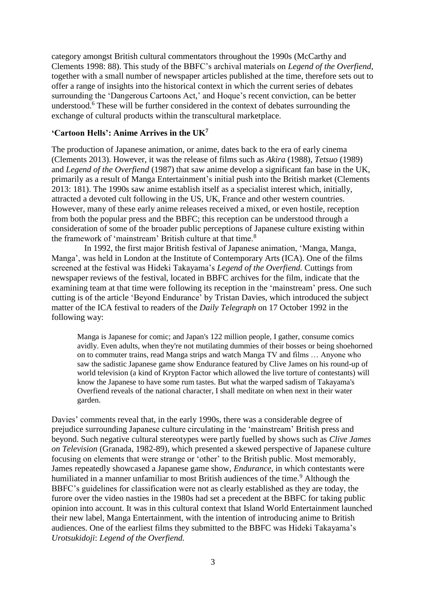category amongst British cultural commentators throughout the 1990s (McCarthy and Clements 1998: 88). This study of the BBFC's archival materials on *Legend of the Overfiend*, together with a small number of newspaper articles published at the time, therefore sets out to offer a range of insights into the historical context in which the current series of debates surrounding the 'Dangerous Cartoons Act,' and Hoque's recent conviction, can be better understood. <sup>6</sup> These will be further considered in the context of debates surrounding the exchange of cultural products within the transcultural marketplace.

# **'Cartoon Hells': Anime Arrives in the UK<sup>7</sup>**

The production of Japanese animation, or anime, dates back to the era of early cinema (Clements 2013). However, it was the release of films such as *Akira* (1988), *Tetsuo* (1989) and *Legend of the Overfiend* (1987) that saw anime develop a significant fan base in the UK, primarily as a result of Manga Entertainment's initial push into the British market (Clements 2013: 181). The 1990s saw anime establish itself as a specialist interest which, initially, attracted a devoted cult following in the US, UK, France and other western countries. However, many of these early anime releases received a mixed, or even hostile, reception from both the popular press and the BBFC; this reception can be understood through a consideration of some of the broader public perceptions of Japanese culture existing within the framework of 'mainstream' British culture at that time.<sup>8</sup>

In 1992, the first major British festival of Japanese animation, 'Manga, Manga, Manga', was held in London at the Institute of Contemporary Arts (ICA). One of the films screened at the festival was Hideki Takayama's *Legend of the Overfiend.* Cuttings from newspaper reviews of the festival, located in BBFC archives for the film, indicate that the examining team at that time were following its reception in the 'mainstream' press. One such cutting is of the article 'Beyond Endurance' by Tristan Davies, which introduced the subject matter of the ICA festival to readers of the *Daily Telegraph* on 17 October 1992 in the following way:

Manga is Japanese for comic; and Japan's 122 million people, I gather, consume comics avidly. Even adults, when they're not mutilating dummies of their bosses or being shoehorned on to commuter trains, read Manga strips and watch Manga TV and films … Anyone who saw the sadistic Japanese game show Endurance featured by Clive James on his round-up of world television (a kind of Krypton Factor which allowed the live torture of contestants) will know the Japanese to have some rum tastes. But what the warped sadism of Takayama's Overfiend reveals of the national character, I shall meditate on when next in their water garden.

Davies' comments reveal that, in the early 1990s, there was a considerable degree of prejudice surrounding Japanese culture circulating in the 'mainstream' British press and beyond. Such negative cultural stereotypes were partly fuelled by shows such as *Clive James on Television* (Granada, 1982-89), which presented a skewed perspective of Japanese culture focusing on elements that were strange or 'other' to the British public. Most memorably, James repeatedly showcased a Japanese game show, *Endurance*, in which contestants were humiliated in a manner unfamiliar to most British audiences of the time.<sup>9</sup> Although the BBFC's guidelines for classification were not as clearly established as they are today, the furore over the video nasties in the 1980s had set a precedent at the BBFC for taking public opinion into account. It was in this cultural context that Island World Entertainment launched their new label, Manga Entertainment, with the intention of introducing anime to British audiences. One of the earliest films they submitted to the BBFC was Hideki Takayama's *Urotsukidoji*: *Legend of the Overfiend.*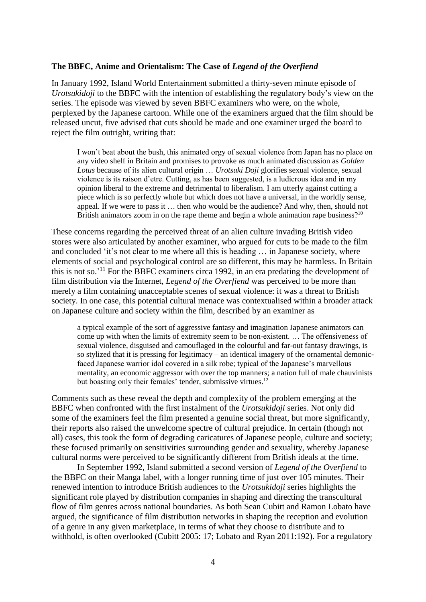#### **The BBFC, Anime and Orientalism: The Case of** *Legend of the Overfiend*

In January 1992, Island World Entertainment submitted a thirty-seven minute episode of *Urotsukidoji* to the BBFC with the intention of establishing the regulatory body's view on the series. The episode was viewed by seven BBFC examiners who were, on the whole, perplexed by the Japanese cartoon. While one of the examiners argued that the film should be released uncut, five advised that cuts should be made and one examiner urged the board to reject the film outright, writing that:

I won't beat about the bush, this animated orgy of sexual violence from Japan has no place on any video shelf in Britain and promises to provoke as much animated discussion as *Golden Lotus* because of its alien cultural origin … *Urotsuki Doji* glorifies sexual violence, sexual violence is its raison d'etre. Cutting, as has been suggested, is a ludicrous idea and in my opinion liberal to the extreme and detrimental to liberalism. I am utterly against cutting a piece which is so perfectly whole but which does not have a universal, in the worldly sense, appeal. If we were to pass it … then who would be the audience? And why, then, should not British animators zoom in on the rape theme and begin a whole animation rape business?<sup>10</sup>

These concerns regarding the perceived threat of an alien culture invading British video stores were also articulated by another examiner, who argued for cuts to be made to the film and concluded 'it's not clear to me where all this is heading … in Japanese society, where elements of social and psychological control are so different, this may be harmless. In Britain this is not so.<sup>'11</sup> For the BBFC examiners circa 1992, in an era predating the development of film distribution via the Internet, *Legend of the Overfiend* was perceived to be more than merely a film containing unacceptable scenes of sexual violence: it was a threat to British society. In one case, this potential cultural menace was contextualised within a broader attack on Japanese culture and society within the film, described by an examiner as

a typical example of the sort of aggressive fantasy and imagination Japanese animators can come up with when the limits of extremity seem to be non-existent. … The offensiveness of sexual violence, disguised and camouflaged in the colourful and far-out fantasy drawings, is so stylized that it is pressing for legitimacy – an identical imagery of the ornamental demonicfaced Japanese warrior idol covered in a silk robe; typical of the Japanese's marvellous mentality, an economic aggressor with over the top manners; a nation full of male chauvinists but boasting only their females' tender, submissive virtues.<sup>12</sup>

Comments such as these reveal the depth and complexity of the problem emerging at the BBFC when confronted with the first instalment of the *Urotsukidoji* series. Not only did some of the examiners feel the film presented a genuine social threat, but more significantly, their reports also raised the unwelcome spectre of cultural prejudice. In certain (though not all) cases, this took the form of degrading caricatures of Japanese people, culture and society; these focused primarily on sensitivities surrounding gender and sexuality, whereby Japanese cultural norms were perceived to be significantly different from British ideals at the time.

In September 1992, Island submitted a second version of *Legend of the Overfiend* to the BBFC on their Manga label, with a longer running time of just over 105 minutes. Their renewed intention to introduce British audiences to the *Urotsukidoji* series highlights the significant role played by distribution companies in shaping and directing the transcultural flow of film genres across national boundaries. As both Sean Cubitt and Ramon Lobato have argued, the significance of film distribution networks in shaping the reception and evolution of a genre in any given marketplace, in terms of what they choose to distribute and to withhold, is often overlooked (Cubitt 2005: 17; Lobato and Ryan 2011:192). For a regulatory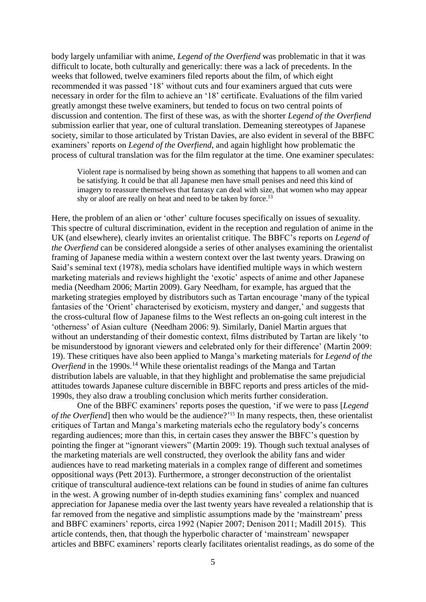body largely unfamiliar with anime, *Legend of the Overfiend* was problematic in that it was difficult to locate, both culturally and generically: there was a lack of precedents. In the weeks that followed, twelve examiners filed reports about the film, of which eight recommended it was passed '18' without cuts and four examiners argued that cuts were necessary in order for the film to achieve an '18' certificate. Evaluations of the film varied greatly amongst these twelve examiners, but tended to focus on two central points of discussion and contention. The first of these was, as with the shorter *Legend of the Overfiend*  submission earlier that year, one of cultural translation. Demeaning stereotypes of Japanese society, similar to those articulated by Tristan Davies, are also evident in several of the BBFC examiners' reports on *Legend of the Overfiend*, and again highlight how problematic the process of cultural translation was for the film regulator at the time. One examiner speculates:

Violent rape is normalised by being shown as something that happens to all women and can be satisfying. It could be that all Japanese men have small penises and need this kind of imagery to reassure themselves that fantasy can deal with size, that women who may appear shy or aloof are really on heat and need to be taken by force.<sup>13</sup>

Here, the problem of an alien or 'other' culture focuses specifically on issues of sexuality. This spectre of cultural discrimination, evident in the reception and regulation of anime in the UK (and elsewhere), clearly invites an orientalist critique. The BBFC's reports on *Legend of the Overfiend* can be considered alongside a series of other analyses examining the orientalist framing of Japanese media within a western context over the last twenty years. Drawing on Said's seminal text (1978), media scholars have identified multiple ways in which western marketing materials and reviews highlight the 'exotic' aspects of anime and other Japanese media (Needham 2006; Martin 2009). Gary Needham, for example, has argued that the marketing strategies employed by distributors such as Tartan encourage 'many of the typical fantasies of the 'Orient' characterised by exoticism, mystery and danger,' and suggests that the cross-cultural flow of Japanese films to the West reflects an on-going cult interest in the 'otherness' of Asian culture (Needham 2006: 9). Similarly, Daniel Martin argues that without an understanding of their domestic context, films distributed by Tartan are likely 'to be misunderstood by ignorant viewers and celebrated only for their difference' (Martin 2009: 19). These critiques have also been applied to Manga's marketing materials for *Legend of the Overfiend* in the 1990s.<sup>14</sup> While these orientalist readings of the Manga and Tartan distribution labels are valuable, in that they highlight and problematise the same prejudicial attitudes towards Japanese culture discernible in BBFC reports and press articles of the mid-1990s, they also draw a troubling conclusion which merits further consideration.

One of the BBFC examiners' reports poses the question, 'if we were to pass [*Legend of the Overfiend*] then who would be the audience?' <sup>15</sup> In many respects, then, these orientalist critiques of Tartan and Manga's marketing materials echo the regulatory body's concerns regarding audiences; more than this, in certain cases they answer the BBFC's question by pointing the finger at "ignorant viewers" (Martin 2009: 19). Though such textual analyses of the marketing materials are well constructed, they overlook the ability fans and wider audiences have to read marketing materials in a complex range of different and sometimes oppositional ways (Pett 2013). Furthermore, a stronger deconstruction of the orientalist critique of transcultural audience-text relations can be found in studies of anime fan cultures in the west. A growing number of in-depth studies examining fans' complex and nuanced appreciation for Japanese media over the last twenty years have revealed a relationship that is far removed from the negative and simplistic assumptions made by the 'mainstream' press and BBFC examiners' reports, circa 1992 (Napier 2007; Denison 2011; Madill 2015). This article contends, then, that though the hyperbolic character of 'mainstream' newspaper articles and BBFC examiners' reports clearly facilitates orientalist readings, as do some of the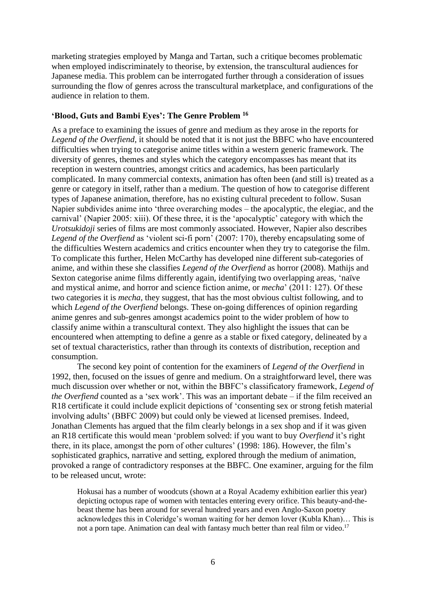marketing strategies employed by Manga and Tartan, such a critique becomes problematic when employed indiscriminately to theorise, by extension, the transcultural audiences for Japanese media. This problem can be interrogated further through a consideration of issues surrounding the flow of genres across the transcultural marketplace, and configurations of the audience in relation to them.

# **'Blood, Guts and Bambi Eyes': The Genre Problem <sup>16</sup>**

As a preface to examining the issues of genre and medium as they arose in the reports for *Legend of the Overfiend*, it should be noted that it is not just the BBFC who have encountered difficulties when trying to categorise anime titles within a western generic framework. The diversity of genres, themes and styles which the category encompasses has meant that its reception in western countries, amongst critics and academics, has been particularly complicated. In many commercial contexts, animation has often been (and still is) treated as a genre or category in itself, rather than a medium. The question of how to categorise different types of Japanese animation, therefore, has no existing cultural precedent to follow. Susan Napier subdivides anime into 'three overarching modes – the apocalyptic, the elegiac, and the carnival' (Napier 2005: xiii). Of these three, it is the 'apocalyptic' category with which the *Urotsukidoji* series of films are most commonly associated. However, Napier also describes *Legend of the Overfiend* as 'violent sci-fi porn' (2007: 170), thereby encapsulating some of the difficulties Western academics and critics encounter when they try to categorise the film. To complicate this further, Helen McCarthy has developed nine different sub-categories of anime, and within these she classifies *Legend of the Overfiend* as horror (2008). Mathijs and Sexton categorise anime films differently again, identifying two overlapping areas, 'naïve and mystical anime, and horror and science fiction anime, or *mecha*' (2011: 127). Of these two categories it is *mecha*, they suggest, that has the most obvious cultist following, and to which *Legend of the Overfiend* belongs. These on-going differences of opinion regarding anime genres and sub-genres amongst academics point to the wider problem of how to classify anime within a transcultural context. They also highlight the issues that can be encountered when attempting to define a genre as a stable or fixed category, delineated by a set of textual characteristics, rather than through its contexts of distribution, reception and consumption.

The second key point of contention for the examiners of *Legend of the Overfiend* in 1992, then, focused on the issues of genre and medium. On a straightforward level, there was much discussion over whether or not, within the BBFC's classificatory framework, *Legend of the Overfiend* counted as a 'sex work'. This was an important debate – if the film received an R18 certificate it could include explicit depictions of 'consenting sex or strong fetish material involving adults' (BBFC 2009) but could only be viewed at licensed premises. Indeed, Jonathan Clements has argued that the film clearly belongs in a sex shop and if it was given an R18 certificate this would mean 'problem solved: if you want to buy *Overfiend* it's right there, in its place, amongst the porn of other cultures' (1998: 186). However, the film's sophisticated graphics, narrative and setting, explored through the medium of animation, provoked a range of contradictory responses at the BBFC. One examiner, arguing for the film to be released uncut, wrote:

Hokusai has a number of woodcuts (shown at a Royal Academy exhibition earlier this year) depicting octopus rape of women with tentacles entering every orifice. This beauty-and-thebeast theme has been around for several hundred years and even Anglo-Saxon poetry acknowledges this in Coleridge's woman waiting for her demon lover (Kubla Khan)… This is not a porn tape. Animation can deal with fantasy much better than real film or video.<sup>17</sup>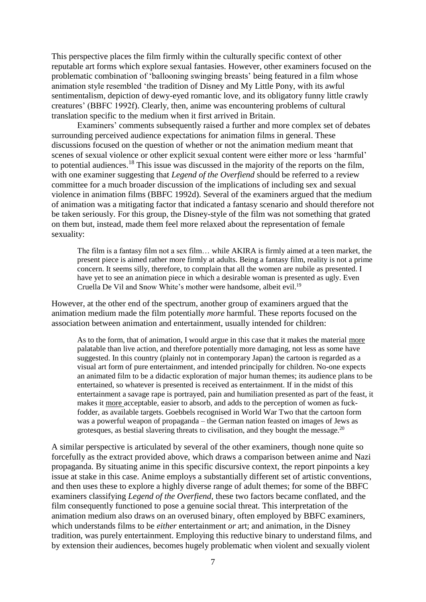This perspective places the film firmly within the culturally specific context of other reputable art forms which explore sexual fantasies. However, other examiners focused on the problematic combination of 'ballooning swinging breasts' being featured in a film whose animation style resembled 'the tradition of Disney and My Little Pony, with its awful sentimentalism, depiction of dewy-eyed romantic love, and its obligatory funny little crawly creatures' (BBFC 1992f). Clearly, then, anime was encountering problems of cultural translation specific to the medium when it first arrived in Britain.

Examiners' comments subsequently raised a further and more complex set of debates surrounding perceived audience expectations for animation films in general. These discussions focused on the question of whether or not the animation medium meant that scenes of sexual violence or other explicit sexual content were either more or less 'harmful' to potential audiences.<sup>18</sup> This issue was discussed in the majority of the reports on the film, with one examiner suggesting that *Legend of the Overfiend* should be referred to a review committee for a much broader discussion of the implications of including sex and sexual violence in animation films (BBFC 1992d). Several of the examiners argued that the medium of animation was a mitigating factor that indicated a fantasy scenario and should therefore not be taken seriously. For this group, the Disney-style of the film was not something that grated on them but, instead, made them feel more relaxed about the representation of female sexuality:

The film is a fantasy film not a sex film… while AKIRA is firmly aimed at a teen market, the present piece is aimed rather more firmly at adults. Being a fantasy film, reality is not a prime concern. It seems silly, therefore, to complain that all the women are nubile as presented. I have yet to see an animation piece in which a desirable woman is presented as ugly. Even Cruella De Vil and Snow White's mother were handsome, albeit evil.<sup>19</sup>

However, at the other end of the spectrum, another group of examiners argued that the animation medium made the film potentially *more* harmful. These reports focused on the association between animation and entertainment, usually intended for children:

As to the form, that of animation, I would argue in this case that it makes the material more palatable than live action, and therefore potentially more damaging, not less as some have suggested. In this country (plainly not in contemporary Japan) the cartoon is regarded as a visual art form of pure entertainment, and intended principally for children. No-one expects an animated film to be a didactic exploration of major human themes; its audience plans to be entertained, so whatever is presented is received as entertainment. If in the midst of this entertainment a savage rape is portrayed, pain and humiliation presented as part of the feast, it makes it more acceptable, easier to absorb, and adds to the perception of women as fuckfodder, as available targets. Goebbels recognised in World War Two that the cartoon form was a powerful weapon of propaganda – the German nation feasted on images of Jews as grotesques, as bestial slavering threats to civilisation, and they bought the message.<sup>20</sup>

A similar perspective is articulated by several of the other examiners, though none quite so forcefully as the extract provided above, which draws a comparison between anime and Nazi propaganda. By situating anime in this specific discursive context, the report pinpoints a key issue at stake in this case. Anime employs a substantially different set of artistic conventions, and then uses these to explore a highly diverse range of adult themes; for some of the BBFC examiners classifying *Legend of the Overfiend*, these two factors became conflated, and the film consequently functioned to pose a genuine social threat. This interpretation of the animation medium also draws on an overused binary, often employed by BBFC examiners, which understands films to be *either* entertainment *or* art; and animation, in the Disney tradition, was purely entertainment. Employing this reductive binary to understand films, and by extension their audiences, becomes hugely problematic when violent and sexually violent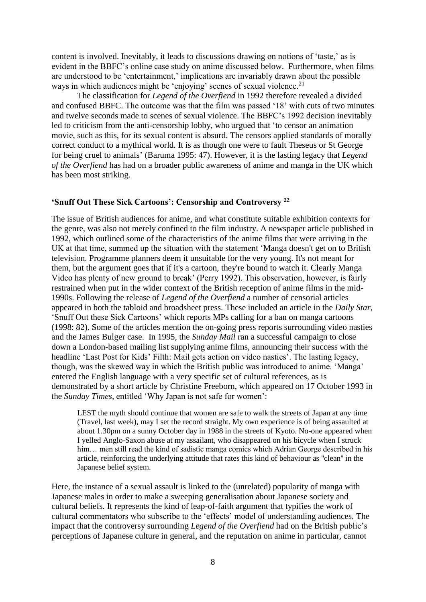content is involved. Inevitably, it leads to discussions drawing on notions of 'taste,' as is evident in the BBFC's online case study on anime discussed below. Furthermore, when films are understood to be 'entertainment,' implications are invariably drawn about the possible ways in which audiences might be 'enjoying' scenes of sexual violence.<sup>21</sup>

The classification for *Legend of the Overfiend* in 1992 therefore revealed a divided and confused BBFC. The outcome was that the film was passed '18' with cuts of two minutes and twelve seconds made to scenes of sexual violence. The BBFC's 1992 decision inevitably led to criticism from the anti-censorship lobby, who argued that 'to censor an animation movie, such as this, for its sexual content is absurd. The censors applied standards of morally correct conduct to a mythical world. It is as though one were to fault Theseus or St George for being cruel to animals' (Baruma 1995: 47). However, it is the lasting legacy that *Legend of the Overfiend* has had on a broader public awareness of anime and manga in the UK which has been most striking.

#### **'Snuff Out These Sick Cartoons': Censorship and Controversy <sup>22</sup>**

The issue of British audiences for anime, and what constitute suitable exhibition contexts for the genre, was also not merely confined to the film industry. A newspaper article published in 1992, which outlined some of the characteristics of the anime films that were arriving in the UK at that time, summed up the situation with the statement 'Manga doesn't get on to British television. Programme planners deem it unsuitable for the very young. It's not meant for them, but the argument goes that if it's a cartoon, they're bound to watch it. Clearly Manga Video has plenty of new ground to break' (Perry 1992). This observation, however, is fairly restrained when put in the wider context of the British reception of anime films in the mid-1990s. Following the release of *Legend of the Overfiend* a number of censorial articles appeared in both the tabloid and broadsheet press. These included an article in the *Daily Star,*  'Snuff Out these Sick Cartoons' which reports MPs calling for a ban on manga cartoons (1998: 82). Some of the articles mention the on-going press reports surrounding video nasties and the James Bulger case. In 1995, the *Sunday Mail* ran a successful campaign to close down a London-based mailing list supplying anime films, announcing their success with the headline 'Last Post for Kids' Filth: Mail gets action on video nasties'. The lasting legacy, though, was the skewed way in which the British public was introduced to anime. 'Manga' entered the English language with a very specific set of cultural references, as is demonstrated by a short article by Christine Freeborn, which appeared on 17 October 1993 in the *Sunday Times,* entitled 'Why Japan is not safe for women':

LEST the myth should continue that women are safe to walk the streets of Japan at any time (Travel, last week), may I set the record straight. My own experience is of being assaulted at about 1.30pm on a sunny October day in 1988 in the streets of Kyoto. No-one appeared when I yelled Anglo-Saxon abuse at my assailant, who disappeared on his bicycle when I struck him... men still read the kind of sadistic manga comics which Adrian George described in his article, reinforcing the underlying attitude that rates this kind of behaviour as ''clean'' in the Japanese belief system.

Here, the instance of a sexual assault is linked to the (unrelated) popularity of manga with Japanese males in order to make a sweeping generalisation about Japanese society and cultural beliefs. It represents the kind of leap-of-faith argument that typifies the work of cultural commentators who subscribe to the 'effects' model of understanding audiences. The impact that the controversy surrounding *Legend of the Overfiend* had on the British public's perceptions of Japanese culture in general, and the reputation on anime in particular, cannot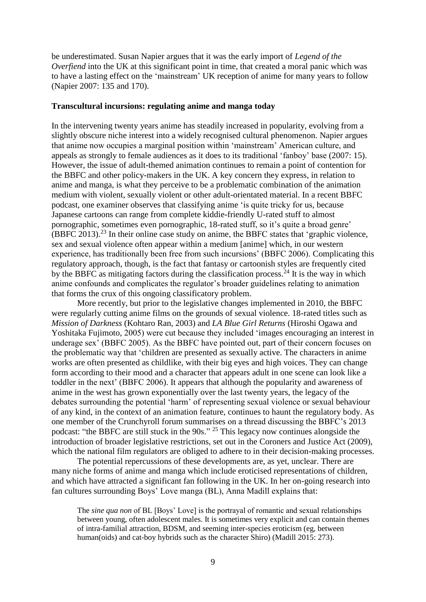be underestimated. Susan Napier argues that it was the early import of *Legend of the Overfiend* into the UK at this significant point in time, that created a moral panic which was to have a lasting effect on the 'mainstream' UK reception of anime for many years to follow (Napier 2007: 135 and 170).

#### **Transcultural incursions: regulating anime and manga today**

In the intervening twenty years anime has steadily increased in popularity, evolving from a slightly obscure niche interest into a widely recognised cultural phenomenon. Napier argues that anime now occupies a marginal position within 'mainstream' American culture, and appeals as strongly to female audiences as it does to its traditional 'fanboy' base (2007: 15). However, the issue of adult-themed animation continues to remain a point of contention for the BBFC and other policy-makers in the UK. A key concern they express, in relation to anime and manga, is what they perceive to be a problematic combination of the animation medium with violent, sexually violent or other adult-orientated material. In a recent BBFC podcast, one examiner observes that classifying anime 'is quite tricky for us, because Japanese cartoons can range from complete kiddie-friendly U-rated stuff to almost pornographic, sometimes even pornographic, 18-rated stuff, so it's quite a broad genre' (BBFC 2013). <sup>23</sup> In their online case study on anime, the BBFC states that 'graphic violence, sex and sexual violence often appear within a medium [anime] which, in our western experience, has traditionally been free from such incursions' (BBFC 2006). Complicating this regulatory approach, though, is the fact that fantasy or cartoonish styles are frequently cited by the BBFC as mitigating factors during the classification process.<sup>24</sup> It is the way in which anime confounds and complicates the regulator's broader guidelines relating to animation that forms the crux of this ongoing classificatory problem.

More recently, but prior to the legislative changes implemented in 2010, the BBFC were regularly cutting anime films on the grounds of sexual violence. 18-rated titles such as *Mission of Darkness* (Kohtaro Ran, 2003) and *LA Blue Girl Returns* [\(Hiroshi Ogawa](http://www.bbfc.co.uk/search/director/Hiroshi%20Ogawa) and [Yoshitaka Fujimoto,](http://www.bbfc.co.uk/search/director/Yoshitaka%20Fujimoto) 2005) were cut because they included 'images encouraging an interest in underage sex' (BBFC 2005). As the BBFC have pointed out, part of their concern focuses on the problematic way that 'children are presented as sexually active. The characters in anime works are often presented as childlike, with their big eyes and high voices. They can change form according to their mood and a character that appears adult in one scene can look like a toddler in the next' (BBFC 2006). It appears that although the popularity and awareness of anime in the west has grown exponentially over the last twenty years, the legacy of the debates surrounding the potential 'harm' of representing sexual violence or sexual behaviour of any kind, in the context of an animation feature, continues to haunt the regulatory body. As one member of the Crunchyroll forum summarises on a thread discussing the BBFC's 2013 podcast: "the BBFC are still stuck in the 90s." <sup>25</sup> This legacy now continues alongside the introduction of broader legislative restrictions, set out in the Coroners and Justice Act (2009), which the national film regulators are obliged to adhere to in their decision-making processes.

The potential repercussions of these developments are, as yet, unclear. There are many niche forms of anime and manga which include eroticised representations of children, and which have attracted a significant fan following in the UK. In her on-going research into fan cultures surrounding Boys' Love manga (BL), Anna Madill explains that:

The *sine qua non* of BL [Boys' Love] is the portrayal of romantic and sexual relationships between young, often adolescent males. It is sometimes very explicit and can contain themes of intra-familial attraction, BDSM, and seeming inter-species eroticism (eg, between human(oids) and cat-boy hybrids such as the character Shiro) (Madill 2015: 273).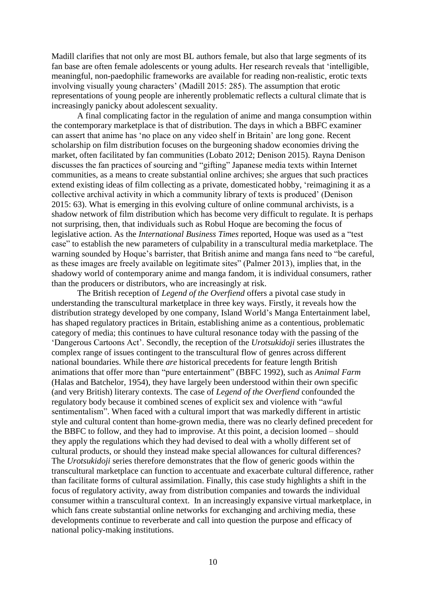Madill clarifies that not only are most BL authors female, but also that large segments of its fan base are often female adolescents or young adults. Her research reveals that 'intelligible, meaningful, non-paedophilic frameworks are available for reading non-realistic, erotic texts involving visually young characters' (Madill 2015: 285). The assumption that erotic representations of young people are inherently problematic reflects a cultural climate that is increasingly panicky about adolescent sexuality.

A final complicating factor in the regulation of anime and manga consumption within the contemporary marketplace is that of distribution. The days in which a BBFC examiner can assert that anime has 'no place on any video shelf in Britain' are long gone. Recent scholarship on film distribution focuses on the burgeoning shadow economies driving the market, often facilitated by fan communities (Lobato 2012; Denison 2015). Rayna Denison discusses the fan practices of sourcing and "gifting" Japanese media texts within Internet communities, as a means to create substantial online archives; she argues that such practices extend existing ideas of film collecting as a private, domesticated hobby, 'reimagining it as a collective archival activity in which a community library of texts is produced' (Denison 2015: 63). What is emerging in this evolving culture of online communal archivists, is a shadow network of film distribution which has become very difficult to regulate. It is perhaps not surprising, then, that individuals such as Robul Hoque are becoming the focus of legislative action. As the *International Business Times* reported, Hoque was used as a "test case" to establish the new parameters of culpability in a transcultural media marketplace. The warning sounded by Hoque's barrister, that British anime and manga fans need to "be careful, as these images are freely available on legitimate sites" (Palmer 2013), implies that, in the shadowy world of contemporary anime and manga fandom, it is individual consumers, rather than the producers or distributors, who are increasingly at risk.

The British reception of *Legend of the Overfiend* offers a pivotal case study in understanding the transcultural marketplace in three key ways. Firstly, it reveals how the distribution strategy developed by one company, Island World's Manga Entertainment label, has shaped regulatory practices in Britain, establishing anime as a contentious, problematic category of media; this continues to have cultural resonance today with the passing of the 'Dangerous Cartoons Act'. Secondly, the reception of the *Urotsukidoji* series illustrates the complex range of issues contingent to the transcultural flow of genres across different national boundaries. While there *are* historical precedents for feature length British animations that offer more than "pure entertainment" (BBFC 1992), such as *Animal Farm* (Halas and Batchelor, 1954), they have largely been understood within their own specific (and very British) literary contexts. The case of *Legend of the Overfiend* confounded the regulatory body because it combined scenes of explicit sex and violence with "awful sentimentalism". When faced with a cultural import that was markedly different in artistic style and cultural content than home-grown media, there was no clearly defined precedent for the BBFC to follow, and they had to improvise. At this point, a decision loomed – should they apply the regulations which they had devised to deal with a wholly different set of cultural products, or should they instead make special allowances for cultural differences? The *Urotsukidoji* series therefore demonstrates that the flow of generic goods within the transcultural marketplace can function to accentuate and exacerbate cultural difference, rather than facilitate forms of cultural assimilation. Finally, this case study highlights a shift in the focus of regulatory activity, away from distribution companies and towards the individual consumer within a transcultural context. In an increasingly expansive virtual marketplace, in which fans create substantial online networks for exchanging and archiving media, these developments continue to reverberate and call into question the purpose and efficacy of national policy-making institutions.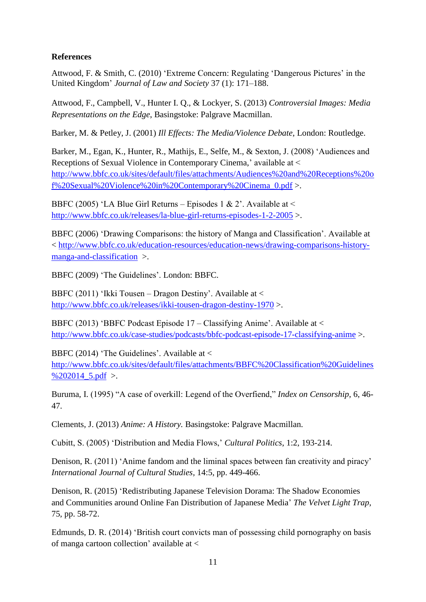# **References**

Attwood, F. & Smith, C. (2010) 'Extreme Concern: Regulating 'Dangerous Pictures' in the United Kingdom' *Journal of Law and Society* 37 (1): 171–188.

Attwood, F., Campbell, V., Hunter I. Q., & Lockyer, S. (2013) *Controversial Images: Media Representations on the Edge*, Basingstoke: Palgrave Macmillan.

Barker, M. & Petley, J. (2001) *Ill Effects: The Media/Violence Debate*, London: Routledge.

Barker, M., Egan, K., Hunter, R., Mathijs, E., Selfe, M., & Sexton, J. (2008) 'Audiences and Receptions of Sexual Violence in Contemporary Cinema,' available at < [http://www.bbfc.co.uk/sites/default/files/attachments/Audiences%20and%20Receptions%20o](http://www.bbfc.co.uk/sites/default/files/attachments/Audiences%20and%20Receptions%20of%20Sexual%20Violence%20in%20Contemporary%20Cinema_0.pdf) [f%20Sexual%20Violence%20in%20Contemporary%20Cinema\\_0.pdf](http://www.bbfc.co.uk/sites/default/files/attachments/Audiences%20and%20Receptions%20of%20Sexual%20Violence%20in%20Contemporary%20Cinema_0.pdf) >.

BBFC (2005) 'LA Blue Girl Returns – Episodes 1 & 2'. Available at  $\leq$ <http://www.bbfc.co.uk/releases/la-blue-girl-returns-episodes-1-2-2005> >.

BBFC (2006) 'Drawing Comparisons: the history of Manga and Classification'. Available at < [http://www.bbfc.co.uk/education-resources/education-news/drawing-comparisons-history](http://www.bbfc.co.uk/education-resources/education-news/drawing-comparisons-history-manga-and-classification)[manga-and-classification](http://www.bbfc.co.uk/education-resources/education-news/drawing-comparisons-history-manga-and-classification) >.

BBFC (2009) 'The Guidelines'. London: BBFC.

BBFC (2011) 'Ikki Tousen – Dragon Destiny'. Available at < <http://www.bbfc.co.uk/releases/ikki-tousen-dragon-destiny-1970> >.

BBFC (2013) 'BBFC Podcast Episode  $17 - Classifying$  Anime'. Available at  $\lt$ <http://www.bbfc.co.uk/case-studies/podcasts/bbfc-podcast-episode-17-classifying-anime> >.

BBFC (2014) 'The Guidelines'. Available at  $\lt$ 

[http://www.bbfc.co.uk/sites/default/files/attachments/BBFC%20Classification%20Guidelines](http://www.bbfc.co.uk/sites/default/files/attachments/BBFC%20Classification%20Guidelines%202014_5.pdf) %202014  $5.$ pdf >.

Buruma, I. (1995) "A case of overkill: Legend of the Overfiend," *Index on Censorship*, 6, 46- 47.

Clements, J. (2013) *Anime: A History.* Basingstoke: Palgrave Macmillan.

Cubitt, S. (2005) 'Distribution and Media Flows,' *Cultural Politics*, 1:2, 193-214.

Denison, R. (2011) 'Anime fandom and the liminal spaces between fan creativity and piracy' *International Journal of Cultural Studies,* 14:5, pp. 449-466.

Denison, R. (2015) 'Redistributing Japanese Television Dorama: The Shadow Economies and Communities around Online Fan Distribution of Japanese Media' *The Velvet Light Trap*, 75, pp. 58-72.

Edmunds, D. R. (2014) 'British court convicts man of possessing child pornography on basis of manga cartoon collection' available at <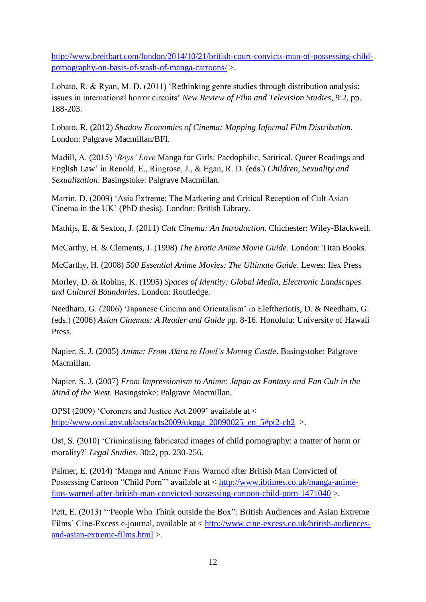[http://www.breitbart.com/london/2014/10/21/british-court-convicts-man-of-possessing-child](http://www.breitbart.com/london/2014/10/21/british-court-convicts-man-of-possessing-child-pornography-on-basis-of-stash-of-manga-cartoons/)[pornography-on-basis-of-stash-of-manga-cartoons/](http://www.breitbart.com/london/2014/10/21/british-court-convicts-man-of-possessing-child-pornography-on-basis-of-stash-of-manga-cartoons/) >.

Lobato, R. & Ryan, M. D. (2011) 'Rethinking genre studies through distribution analysis: issues in international horror circuits' *New Review of Film and Television Studies*, 9:2, pp. 188-203.

Lobato, R. (2012) *Shadow Economies of Cinema: Mapping Informal Film Distribution*, London: Palgrave Macmillan/BFI.

Madill, A. (2015) '*Boys' Love* Manga for Girls: Paedophilic, Satirical, Queer Readings and English Law' in Renold, E., Ringrose, J., & Egan, R. D. (eds.) *Children, Sexuality and Sexualization*. Basingstoke: Palgrave Macmillan.

Martin, D. (2009) 'Asia Extreme: The Marketing and Critical Reception of Cult Asian Cinema in the UK' (PhD thesis). London: British Library.

Mathijs, E. & Sexton, J. (2011) *Cult Cinema: An Introduction*. Chichester: Wiley-Blackwell.

McCarthy, H. & Clements, J. (1998) *The Erotic Anime Movie Guide*. London: Titan Books.

McCarthy, H. (2008) *500 Essential Anime Movies: The Ultimate Guide*. Lewes: Ilex Press

Morley, D. & Robins, K. (1995) *Spaces of Identity: Global Media, Electronic Landscapes and Cultural Boundaries*. London: Routledge.

Needham, G. (2006) 'Japanese Cinema and Orientalism' in Eleftheriotis, D. & Needham, G. (eds.) (2006) *Asian Cinemas: A Reader and Guide* pp. 8-16. Honolulu: University of Hawaii Press.

Napier, S. J. (2005) *Anime: From Akira to Howl's Moving Castle*. Basingstoke: Palgrave Macmillan.

Napier, S. J. (2007) *From Impressionism to Anime: Japan as Fantasy and Fan Cult in the Mind of the West*. Basingstoke: Palgrave Macmillan.

OPSI (2009) 'Coroners and Justice Act 2009' available at < [http://www.opsi.gov.uk/acts/acts2009/ukpga\\_20090025\\_en\\_5#pt2-ch2](http://www.opsi.gov.uk/acts/acts2009/ukpga_20090025_en_5#pt2-ch2) >.

Ost, S. (2010) 'Criminalising fabricated images of child pornography: a matter of harm or morality?' *Legal Studies*, 30:2, pp. 230-256.

Palmer, E. (2014) 'Manga and Anime Fans Warned after British Man Convicted of Possessing Cartoon "Child Porn"' available at < [http://www.ibtimes.co.uk/manga-anime](http://www.ibtimes.co.uk/manga-anime-fans-warned-after-british-man-convicted-possessing-cartoon-child-porn-1471040)[fans-warned-after-british-man-convicted-possessing-cartoon-child-porn-1471040](http://www.ibtimes.co.uk/manga-anime-fans-warned-after-british-man-convicted-possessing-cartoon-child-porn-1471040) >.

Pett, E. (2013) '"People Who Think outside the Box": British Audiences and Asian Extreme Films' Cine-Excess e-journal, available at < [http://www.cine-excess.co.uk/british-audiences](http://www.cine-excess.co.uk/british-audiences-and-asian-extreme-films.html)[and-asian-extreme-films.html](http://www.cine-excess.co.uk/british-audiences-and-asian-extreme-films.html) >.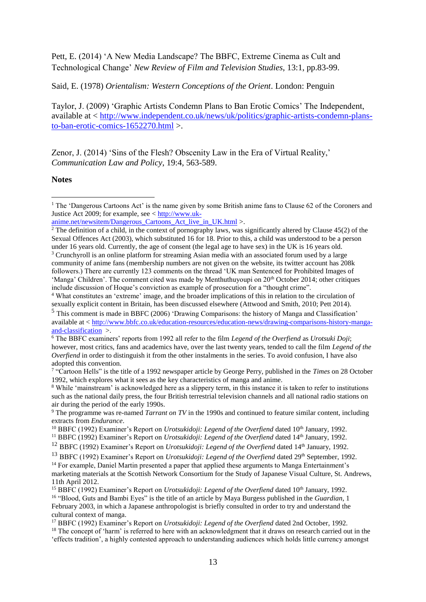Pett, E. (2014) 'A New Media Landscape? The BBFC, Extreme Cinema as Cult and Technological Change' *New Review of Film and Television Studies*, 13:1, pp.83-99.

Said, E. (1978) *Orientalism: Western Conceptions of the Orient*. London: Penguin

Taylor, J. (2009) 'Graphic Artists Condemn Plans to Ban Erotic Comics' The Independent, available at < [http://www.independent.co.uk/news/uk/politics/graphic-artists-condemn-plans](http://www.independent.co.uk/news/uk/politics/graphic-artists-condemn-plans-to-ban-erotic-comics-1652270.html)[to-ban-erotic-comics-1652270.html](http://www.independent.co.uk/news/uk/politics/graphic-artists-condemn-plans-to-ban-erotic-comics-1652270.html) >.

Zenor, J. (2014) 'Sins of the Flesh? Obscenity Law in the Era of Virtual Reality,' *Communication Law and Policy*, 19:4, 563-589.

**Notes**

<u>.</u>

<sup>&</sup>lt;sup>1</sup> The 'Dangerous Cartoons Act' is the name given by some British anime fans to Clause 62 of the Coroners and Justice Act 2009; for example, see  $\lt$  [http://www.uk-](http://www.uk-anime.net/newsitem/Dangerous_Cartoons_Act_live_in_UK.html)

anime.net/newsitem/Dangerous Cartoons Act live in UK.html >.

 $2$  The definition of a child, in the context of pornography laws, was significantly altered by Clause 45(2) of the Sexual Offences Act (2003), which substituted 16 for 18. Prior to this, a child was understood to be a person under 16 years old. Currently, the age of consent (the legal age to have sex) in the UK is 16 years old.

<sup>&</sup>lt;sup>3</sup> Crunchyroll is an online platform for streaming Asian media with an associated forum used by a large community of anime fans (membership numbers are not given on the website, its twitter account has 208k followers.) There are currently 123 comments on the thread 'UK man Sentenced for Prohibited Images of 'Manga' Children'. The comment cited was made by Menthuthuyoupi on  $20<sup>th</sup>$  October 2014; other critiques include discussion of Hoque's conviction as example of prosecution for a "thought crime".

<sup>4</sup> What constitutes an 'extreme' image, and the broader implications of this in relation to the circulation of sexually explicit content in Britain, has been discussed elsewhere (Attwood and Smith, 2010; Pett 2014).

<sup>5</sup> This comment is made in BBFC (2006) 'Drawing Comparisons: the history of Manga and Classification' available at < [http://www.bbfc.co.uk/education-resources/education-news/drawing-comparisons-history-manga](http://www.bbfc.co.uk/education-resources/education-news/drawing-comparisons-history-manga-and-classification)[and-classification](http://www.bbfc.co.uk/education-resources/education-news/drawing-comparisons-history-manga-and-classification) >.

<sup>6</sup> The BBFC examiners' reports from 1992 all refer to the film *Legend of the Overfiend* as *Urotsuki Doji*; however, most critics, fans and academics have, over the last twenty years, tended to call the film *Legend of the Overfiend* in order to distinguish it from the other instalments in the series. To avoid confusion, I have also adopted this convention.

<sup>7</sup> "Cartoon Hells" is the title of a 1992 newspaper article by George Perry, published in the *Times* on 28 October 1992, which explores what it sees as the key characteristics of manga and anime.

<sup>&</sup>lt;sup>8</sup> While 'mainstream' is acknowledged here as a slippery term, in this instance it is taken to refer to institutions such as the national daily press, the four British terrestrial television channels and all national radio stations on air during the period of the early 1990s.

<sup>9</sup> The programme was re-named *Tarrant on TV* in the 1990s and continued to feature similar content, including extracts from *Endurance*.

<sup>&</sup>lt;sup>10</sup> BBFC (1992) Examiner's Report on *Urotsukidoji: Legend of the Overfiend* dated 10<sup>th</sup> January, 1992.

<sup>11</sup> BBFC (1992) Examiner's Report on *Urotsukidoji: Legend of the Overfiend* dated 14th January, 1992.

<sup>&</sup>lt;sup>12</sup> BBFC (1992) Examiner's Report on *Urotsukidoji: Legend of the Overfiend* dated 14<sup>th</sup> January, 1992.

<sup>&</sup>lt;sup>13</sup> BBFC (1992) Examiner's Report on *Urotsukidoji: Legend of the Overfiend* dated 29<sup>th</sup> September, 1992.

<sup>&</sup>lt;sup>14</sup> For example, Daniel Martin presented a paper that applied these arguments to Manga Entertainment's marketing materials at the Scottish Network Consortium for the Study of Japanese Visual Culture, St. Andrews, 11th April 2012.

<sup>&</sup>lt;sup>15</sup> BBFC (1992) Examiner's Report on *Urotsukidoji: Legend of the Overfiend* dated 10<sup>th</sup> January, 1992.

<sup>16</sup> "Blood, Guts and Bambi Eyes" is the title of an article by Maya Burgess published in the *Guardian*, 1 February 2003, in which a Japanese anthropologist is briefly consulted in order to try and understand the cultural context of manga.

<sup>17</sup> BBFC (1992) Examiner's Report on *Urotsukidoji: Legend of the Overfiend* dated 2nd October, 1992.

<sup>&</sup>lt;sup>18</sup> The concept of 'harm' is referred to here with an acknowledgment that it draws on research carried out in the 'effects tradition', a highly contested approach to understanding audiences which holds little currency amongst